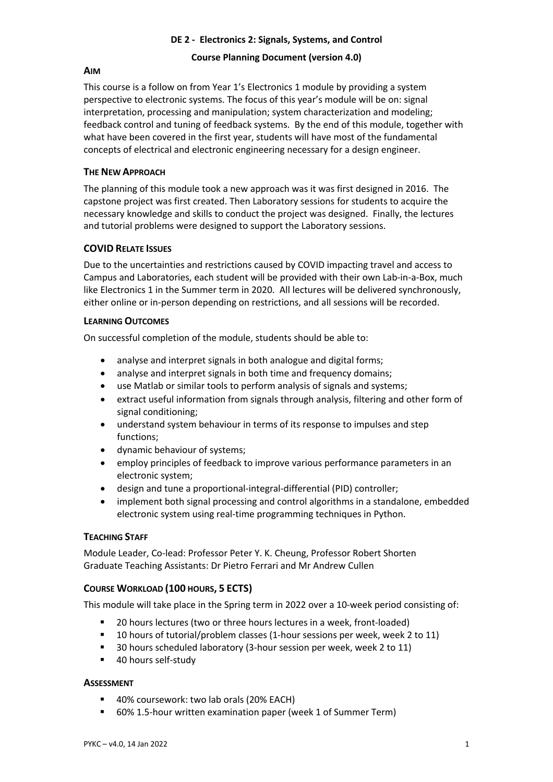# **DE 2 - Electronics 2: Signals, Systems, and Control**

# **Course Planning Document (version 4.0)**

# **AIM**

This course is a follow on from Year 1's Electronics 1 module by providing a system perspective to electronic systems. The focus of this year's module will be on: signal interpretation, processing and manipulation; system characterization and modeling; feedback control and tuning of feedback systems. By the end of this module, together with what have been covered in the first year, students will have most of the fundamental concepts of electrical and electronic engineering necessary for a design engineer.

# **THE NEW APPROACH**

The planning of this module took a new approach was it was first designed in 2016. The capstone project was first created. Then Laboratory sessions for students to acquire the necessary knowledge and skills to conduct the project was designed. Finally, the lectures and tutorial problems were designed to support the Laboratory sessions.

# **COVID RELATE ISSUES**

Due to the uncertainties and restrictions caused by COVID impacting travel and access to Campus and Laboratories, each student will be provided with their own Lab-in-a-Box, much like Electronics 1 in the Summer term in 2020. All lectures will be delivered synchronously, either online or in-person depending on restrictions, and all sessions will be recorded.

## **LEARNING OUTCOMES**

On successful completion of the module, students should be able to:

- analyse and interpret signals in both analogue and digital forms;
- analyse and interpret signals in both time and frequency domains;
- use Matlab or similar tools to perform analysis of signals and systems;
- extract useful information from signals through analysis, filtering and other form of signal conditioning;
- understand system behaviour in terms of its response to impulses and step functions;
- dynamic behaviour of systems;
- employ principles of feedback to improve various performance parameters in an electronic system;
- design and tune a proportional-integral-differential (PID) controller;
- implement both signal processing and control algorithms in a standalone, embedded electronic system using real-time programming techniques in Python.

## **TEACHING STAFF**

Module Leader, Co-lead: Professor Peter Y. K. Cheung, Professor Robert Shorten Graduate Teaching Assistants: Dr Pietro Ferrari and Mr Andrew Cullen

# **COURSE WORKLOAD (100 HOURS, 5 ECTS)**

This module will take place in the Spring term in 2022 over a 10-week period consisting of:

- § 20 hours lectures (two or three hours lectures in a week, front-loaded)
- 10 hours of tutorial/problem classes (1-hour sessions per week, week 2 to 11)
- § 30 hours scheduled laboratory (3-hour session per week, week 2 to 11)
- 40 hours self-study

## **ASSESSMENT**

- § 40% coursework: two lab orals (20% EACH)
- § 60% 1.5-hour written examination paper (week 1 of Summer Term)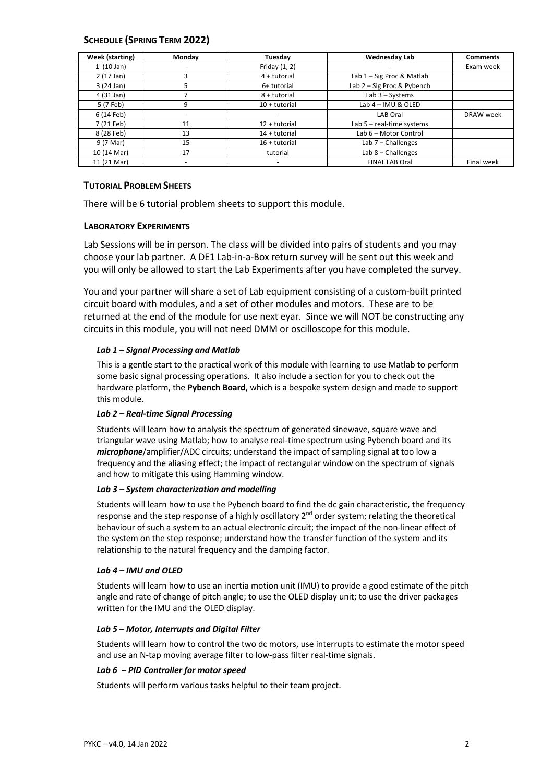## **SCHEDULE (SPRING TERM 2022)**

| Week (starting)     | Monday                   | Tuesday         | <b>Wednesday Lab</b>        | <b>Comments</b> |
|---------------------|--------------------------|-----------------|-----------------------------|-----------------|
| 1(10 Jan)           | -                        | Friday $(1, 2)$ | -                           | Exam week       |
| $2(17 \text{ Jan})$ | 3                        | $4 +$ tutorial  | Lab $1 -$ Sig Proc & Matlab |                 |
| 3(24 Jan)           | 5                        | 6+ tutorial     | Lab 2 - Sig Proc & Pybench  |                 |
| 4 (31 Jan)          |                          | 8 + tutorial    | Lab $3 - Systems$           |                 |
| 5 (7 Feb)           | 9                        | $10 +$ tutorial | Lab 4 - IMU & OLED          |                 |
| 6 (14 Feb)          |                          |                 | LAB Oral                    | DRAW week       |
| 7 (21 Feb)          | 11                       | 12 + tutorial   | Lab $5$ – real-time systems |                 |
| 8 (28 Feb)          | 13                       | 14 + tutorial   | Lab 6 - Motor Control       |                 |
| 9 (7 Mar)           | 15                       | $16 +$ tutorial | Lab $7$ – Challenges        |                 |
| 10 (14 Mar)         | 17                       | tutorial        | Lab $8$ – Challenges        |                 |
| 11 (21 Mar)         | $\overline{\phantom{0}}$ | ۰               | <b>FINAL LAB Oral</b>       | Final week      |

### **TUTORIAL PROBLEM SHEETS**

There will be 6 tutorial problem sheets to support this module.

### **LABORATORY EXPERIMENTS**

Lab Sessions will be in person. The class will be divided into pairs of students and you may choose your lab partner. A DE1 Lab-in-a-Box return survey will be sent out this week and you will only be allowed to start the Lab Experiments after you have completed the survey.

You and your partner will share a set of Lab equipment consisting of a custom-built printed circuit board with modules, and a set of other modules and motors. These are to be returned at the end of the module for use next eyar. Since we will NOT be constructing any circuits in this module, you will not need DMM or oscilloscope for this module.

### *Lab 1 – Signal Processing and Matlab*

This is a gentle start to the practical work of this module with learning to use Matlab to perform some basic signal processing operations. It also include a section for you to check out the hardware platform, the **Pybench Board**, which is a bespoke system design and made to support this module.

### *Lab 2 – Real-time Signal Processing*

Students will learn how to analysis the spectrum of generated sinewave, square wave and triangular wave using Matlab; how to analyse real-time spectrum using Pybench board and its *microphone*/amplifier/ADC circuits; understand the impact of sampling signal at too low a frequency and the aliasing effect; the impact of rectangular window on the spectrum of signals and how to mitigate this using Hamming window.

### *Lab 3 – System characterization and modelling*

Students will learn how to use the Pybench board to find the dc gain characteristic, the frequency response and the step response of a highly oscillatory  $2<sup>nd</sup>$  order system; relating the theoretical behaviour of such a system to an actual electronic circuit; the impact of the non-linear effect of the system on the step response; understand how the transfer function of the system and its relationship to the natural frequency and the damping factor.

### *Lab 4 – IMU and OLED*

Students will learn how to use an inertia motion unit (IMU) to provide a good estimate of the pitch angle and rate of change of pitch angle; to use the OLED display unit; to use the driver packages written for the IMU and the OLED display.

### *Lab 5 – Motor, Interrupts and Digital Filter*

Students will learn how to control the two dc motors, use interrupts to estimate the motor speed and use an N-tap moving average filter to low-pass filter real-time signals.

### *Lab 6 – PID Controller for motor speed*

Students will perform various tasks helpful to their team project.